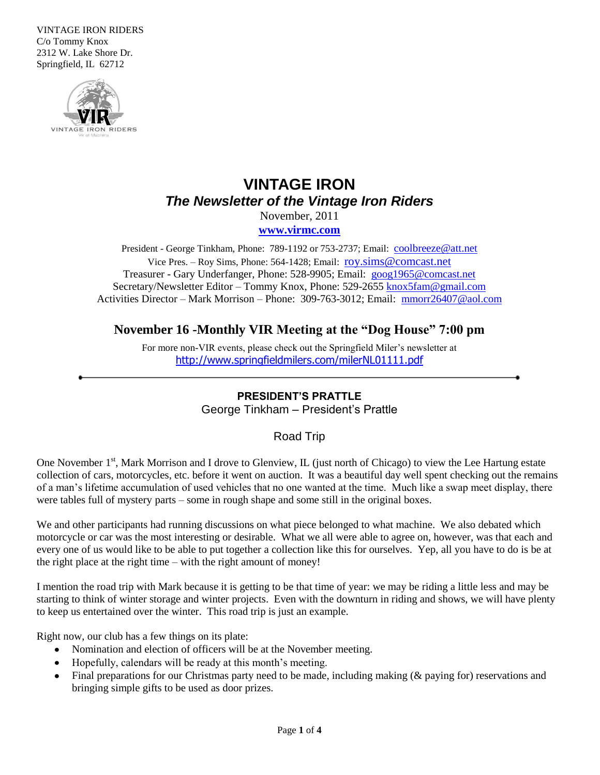VINTAGE IRON RIDERS C/o Tommy Knox 2312 W. Lake Shore Dr. Springfield, IL 62712



# **VINTAGE IRON** *The Newsletter of the Vintage Iron Riders*

November, 2011 **[www.virmc.com](http://www.virmc.com/)** 

President - George Tinkham, Phone: 789-1192 or 753-2737; Email: [coolbreeze@att.net](mailto:coolbreeze@att.net) Vice Pres. – Roy Sims, Phone: 564-1428; Email: [roy.sims@comcast.net](mailto:roy.sims@comcast.net) Treasurer - Gary Underfanger, Phone: 528-9905; Email: [goog1965@comcast.net](mailto:goog1965@comcast.net) Secretary/Newsletter Editor – Tommy Knox, Phone: 529-2655 [knox5fam@gmail.com](mailto:knox5fam@gmail.com) Activities Director – Mark Morrison – Phone: 309-763-3012; Email: [mmorr26407@aol.com](mailto:mmorr26407@aol.com)

## **November 16 -Monthly VIR Meeting at the "Dog House" 7:00 pm**

For more non-VIR events, please check out the Springfield Miler's newsletter at <http://www.springfieldmilers.com/milerNL01111.pdf>

### **PRESIDENT'S PRATTLE**

George Tinkham – President's Prattle

### Road Trip

One November 1<sup>st</sup>, Mark Morrison and I drove to Glenview, IL (just north of Chicago) to view the Lee Hartung estate collection of cars, motorcycles, etc. before it went on auction. It was a beautiful day well spent checking out the remains of a man's lifetime accumulation of used vehicles that no one wanted at the time. Much like a swap meet display, there were tables full of mystery parts – some in rough shape and some still in the original boxes.

We and other participants had running discussions on what piece belonged to what machine. We also debated which motorcycle or car was the most interesting or desirable. What we all were able to agree on, however, was that each and every one of us would like to be able to put together a collection like this for ourselves. Yep, all you have to do is be at the right place at the right time – with the right amount of money!

I mention the road trip with Mark because it is getting to be that time of year: we may be riding a little less and may be starting to think of winter storage and winter projects. Even with the downturn in riding and shows, we will have plenty to keep us entertained over the winter. This road trip is just an example.

Right now, our club has a few things on its plate:

- Nomination and election of officers will be at the November meeting.
- Hopefully, calendars will be ready at this month's meeting.
- Final preparations for our Christmas party need to be made, including making (& paying for) reservations and bringing simple gifts to be used as door prizes.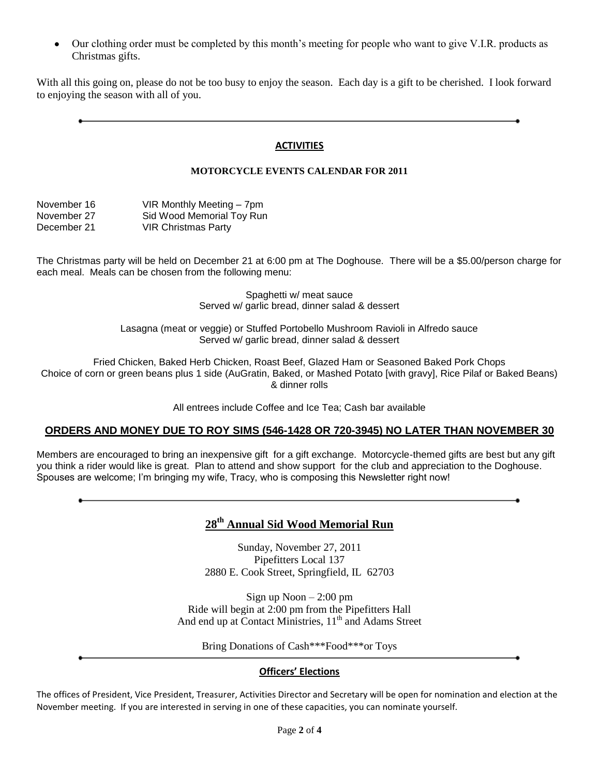Our clothing order must be completed by this month's meeting for people who want to give V.I.R. products as Christmas gifts.

With all this going on, please do not be too busy to enjoy the season. Each day is a gift to be cherished. I look forward to enjoying the season with all of you.

### **ACTIVITIES**

### **MOTORCYCLE EVENTS CALENDAR FOR 2011**

| November 16 | VIR Monthly Meeting - 7pm  |
|-------------|----------------------------|
| November 27 | Sid Wood Memorial Toy Run  |
| December 21 | <b>VIR Christmas Party</b> |

The Christmas party will be held on December 21 at 6:00 pm at The Doghouse. There will be a \$5.00/person charge for each meal. Meals can be chosen from the following menu:

> Spaghetti w/ meat sauce Served w/ garlic bread, dinner salad & dessert

Lasagna (meat or veggie) or Stuffed Portobello Mushroom Ravioli in Alfredo sauce Served w/ garlic bread, dinner salad & dessert

Fried Chicken, Baked Herb Chicken, Roast Beef, Glazed Ham or Seasoned Baked Pork Chops Choice of corn or green beans plus 1 side (AuGratin, Baked, or Mashed Potato [with gravy], Rice Pilaf or Baked Beans) & dinner rolls

All entrees include Coffee and Ice Tea; Cash bar available

### **ORDERS AND MONEY DUE TO ROY SIMS (546-1428 OR 720-3945) NO LATER THAN NOVEMBER 30**

Members are encouraged to bring an inexpensive gift for a gift exchange. Motorcycle-themed gifts are best but any gift you think a rider would like is great. Plan to attend and show support for the club and appreciation to the Doghouse. Spouses are welcome; I'm bringing my wife, Tracy, who is composing this Newsletter right now!

# **28th Annual Sid Wood Memorial Run**

Sunday, November 27, 2011 Pipefitters Local 137 2880 E. Cook Street, Springfield, IL 62703

Sign up Noon – 2:00 pm Ride will begin at 2:00 pm from the Pipefitters Hall And end up at Contact Ministries,  $11<sup>th</sup>$  and Adams Street

Bring Donations of Cash\*\*\*Food\*\*\*or Toys

### **Officers' Elections**

The offices of President, Vice President, Treasurer, Activities Director and Secretary will be open for nomination and election at the November meeting. If you are interested in serving in one of these capacities, you can nominate yourself.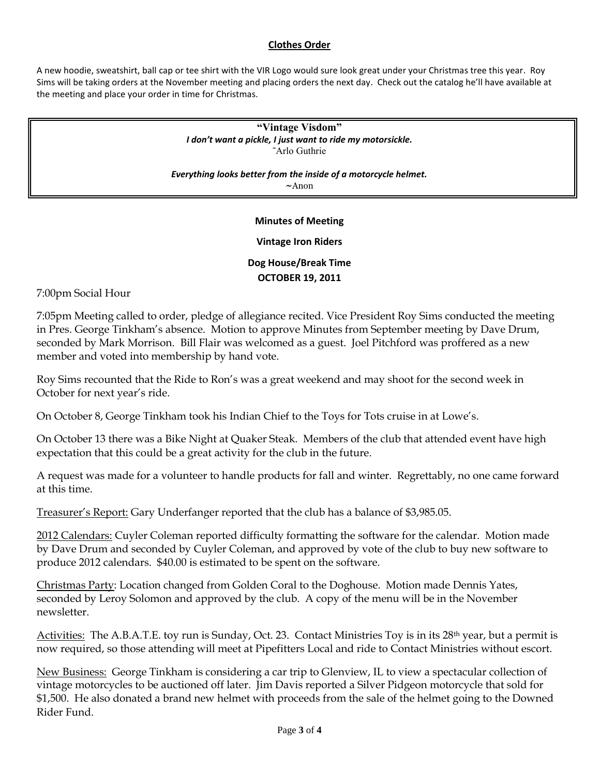### **Clothes Order**

A new hoodie, sweatshirt, ball cap or tee shirt with the VIR Logo would sure look great under your Christmas tree this year. Roy Sims will be taking orders at the November meeting and placing orders the next day. Check out the catalog he'll have available at the meeting and place your order in time for Christmas.

> **"Vintage Visdom"** *I don't want a pickle, I just want to ride my motorsickle.* ˜Arlo Guthrie

*Everything looks better from the inside of a motorcycle helmet.* **~**Anon

### **Minutes of Meeting**

### **Vintage Iron Riders**

## **Dog House/Break Time OCTOBER 19, 2011**

7:00pm Social Hour

7:05pm Meeting called to order, pledge of allegiance recited. Vice President Roy Sims conducted the meeting in Pres. George Tinkham's absence. Motion to approve Minutes from September meeting by Dave Drum, seconded by Mark Morrison. Bill Flair was welcomed as a guest. Joel Pitchford was proffered as a new member and voted into membership by hand vote.

Roy Sims recounted that the Ride to Ron's was a great weekend and may shoot for the second week in October for next year's ride.

On October 8, George Tinkham took his Indian Chief to the Toys for Tots cruise in at Lowe's.

On October 13 there was a Bike Night at Quaker Steak. Members of the club that attended event have high expectation that this could be a great activity for the club in the future.

A request was made for a volunteer to handle products for fall and winter. Regrettably, no one came forward at this time.

Treasurer's Report: Gary Underfanger reported that the club has a balance of \$3,985.05.

2012 Calendars: Cuyler Coleman reported difficulty formatting the software for the calendar. Motion made by Dave Drum and seconded by Cuyler Coleman, and approved by vote of the club to buy new software to produce 2012 calendars. \$40.00 is estimated to be spent on the software.

Christmas Party: Location changed from Golden Coral to the Doghouse. Motion made Dennis Yates, seconded by Leroy Solomon and approved by the club. A copy of the menu will be in the November newsletter.

Activities: The A.B.A.T.E. toy run is Sunday, Oct. 23. Contact Ministries Toy is in its 28th year, but a permit is now required, so those attending will meet at Pipefitters Local and ride to Contact Ministries without escort.

New Business: George Tinkham is considering a car trip to Glenview, IL to view a spectacular collection of vintage motorcycles to be auctioned off later. Jim Davis reported a Silver Pidgeon motorcycle that sold for \$1,500. He also donated a brand new helmet with proceeds from the sale of the helmet going to the Downed Rider Fund.